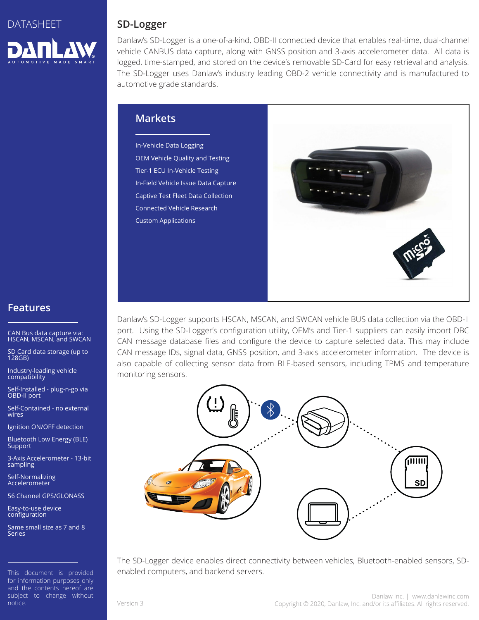

### **SD-Logger**

Danlaw's SD-Logger is a one-of-a-kind, OBD-II connected device that enables real-time, dual-channel vehicle CANBUS data capture, along with GNSS position and 3-axis accelerometer data. All data is logged, time-stamped, and stored on the device's removable SD-Card for easy retrieval and analysis. The SD-Logger uses Danlaw's industry leading OBD-2 vehicle connectivity and is manufactured to automotive grade standards.

### **Markets**

In-Vehicle Data Logging OEM Vehicle Quality and Testing Tier-1 ECU In-Vehicle Testing In-Field Vehicle Issue Data Capture Captive Test Fleet Data Collection Connected Vehicle Research Custom Applications



Danlaw's SD-Logger supports HSCAN, MSCAN, and SWCAN vehicle BUS data collection via the OBD-II port. Using the SD-Logger's configuration utility, OEM's and Tier-1 suppliers can easily import DBC CAN message database files and configure the device to capture selected data. This may include CAN message IDs, signal data, GNSS position, and 3-axis accelerometer information. The device is also capable of collecting sensor data from BLE-based sensors, including TPMS and temperature monitoring sensors.



The SD-Logger device enables direct connectivity between vehicles, Bluetooth-enabled sensors, SDenabled computers, and backend servers.

### **Features**

CAN Bus data capture via: HSCAN, MSCAN, and SWCAN

SD Card data storage (up to 128GB)

Industry-leading vehicle compatibility

Self-Installed - plug-n-go via OBD-II port

Self-Contained - no external wires

Ignition ON/OFF detection

Bluetooth Low Energy (BLE) **Support** 

3-Axis Accelerometer - 13-bit sampling

Self-Normalizing Accelerometer

56 Channel GPS/GLONASS

Easy-to-use device configuration

Same small size as 7 and 8 Series

This document is provided for information purposes only and the contents hereof are subject to change without notice.